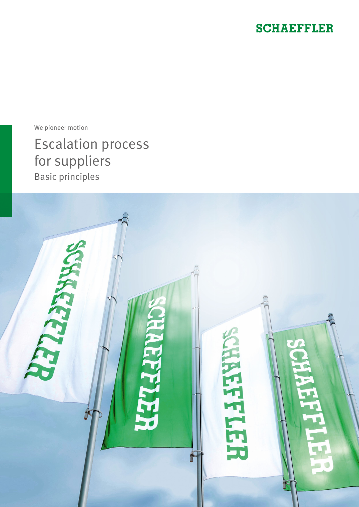### **SCHAEFFLER**

We pioneer motion

Escalation process for suppliers Basic principles

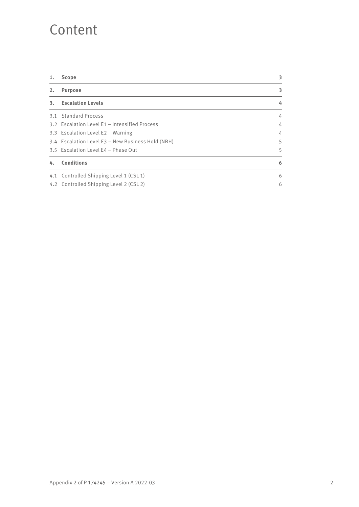### Content

| 1. | <b>Scope</b>                                      | 3 |
|----|---------------------------------------------------|---|
| 2. | <b>Purpose</b>                                    | 3 |
| 3. | <b>Escalation Levels</b>                          | 4 |
|    | 3.1 Standard Process                              | 4 |
|    | 3.2 Escalation Level E1 - Intensified Process     | 4 |
|    | 3.3 Escalation Level E2 - Warning                 | 4 |
|    | 3.4 Escalation Level E3 - New Business Hold (NBH) | 5 |
|    | 3.5 Escalation Level E4 - Phase Out               | 5 |
| 4. | <b>Conditions</b>                                 | 6 |
|    | 4.1 Controlled Shipping Level 1 (CSL 1)           | 6 |
|    | 4.2 Controlled Shipping Level 2 (CSL 2)           | 6 |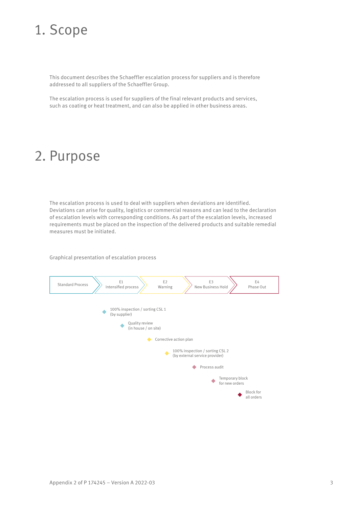# 1. Scope

This document describes the Schaeffler escalation process for suppliers and is therefore addressed to all suppliers of the Schaeffler Group.

The escalation process is used for suppliers of the final relevant products and services, such as coating or heat treatment, and can also be applied in other business areas.

# 2. Purpose

The escalation process is used to deal with suppliers when deviations are identified. Deviations can arise for quality, logistics or commercial reasons and can lead to the declaration of escalation levels with corresponding conditions. As part of the escalation levels, increased requirements must be placed on the inspection of the delivered products and suitable remedial measures must be initiated.

Graphical presentation of escalation process

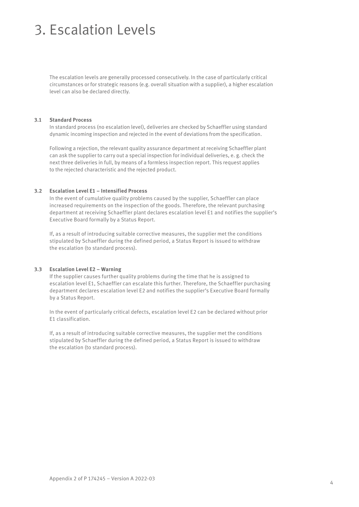# 3. Escalation Levels

The escalation levels are generally processed consecutively. In the case of particularly critical circumstances or for strategic reasons (e.g. overall situation with a supplier), a higher escalation level can also be declared directly.

#### **3.1 Standard Process**

In standard process (no escalation level), deliveries are checked by Schaeffler using standard dynamic incoming inspection and rejected in the event of deviations from the specification.

Following a rejection, the relevant quality assurance department at receiving Schaeffler plant can ask the supplier to carry out a special inspection for individual deliveries, e. g. check the next three deliveries in full, by means of a formless inspection report. This request applies to the rejected characteristic and the rejected product.

#### **3.2 Escalation Level E1 – Intensified Process**

In the event of cumulative quality problems caused by the supplier, Schaeffler can place increased requirements on the inspection of the goods. Therefore, the relevant purchasing department at receiving Schaeffler plant declares escalation level E1 and notifies the supplier's Executive Board formally by a Status Report.

If, as a result of introducing suitable corrective measures, the supplier met the conditions stipulated by Schaeffler during the defined period, a Status Report is issued to withdraw the escalation (to standard process).

#### **3.3 Escalation Level E2 – Warning**

If the supplier causes further quality problems during the time that he is assigned to escalation level E1, Schaeffler can escalate this further. Therefore, the Schaeffler purchasing department declares escalation level E2 and notifies the supplier's Executive Board formally by a Status Report.

In the event of particularly critical defects, escalation level E2 can be declared without prior E1 classification.

If, as a result of introducing suitable corrective measures, the supplier met the conditions stipulated by Schaeffler during the defined period, a Status Report is issued to withdraw the escalation (to standard process).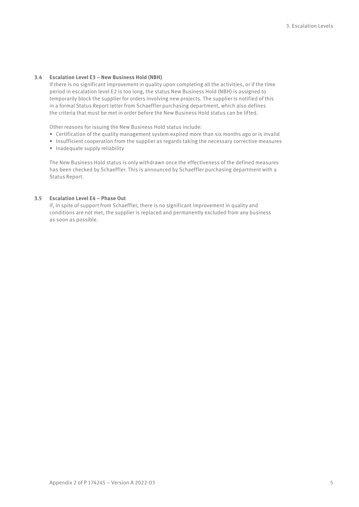#### **3.4 Escalation Level E3 – New Business Hold (NBH)**

If there is no significant improvement in quality upon completing all the activities, or if the time period in escalation level E2 is too long, the status New Business Hold (NBH) is assigned to temporarily block the supplier for orders involving new projects. The supplier is notified of this in a formal Status Report letter from Schaeffler purchasing department, which also defines the criteria that must be met in order before the New Business Hold status can be lifted.

Other reasons for issuing the New Business Hold status include:

- Certification of the quality management system expired more than six months ago or is invalid
- Insufficient cooperation from the supplier as regards taking the necessary corrective measures
- Inadequate supply reliability

The New Business Hold status is only withdrawn once the effectiveness of the defined measures has been checked by Schaeffler. This is announced by Schaeffler purchasing department with a Status Report.

### **3.5 Escalation Level E4 – Phase Out**

If, in spite of support from Schaeffler, there is no significant improvement in quality and conditions are not met, the supplier is replaced and permanently excluded from any business as soon as possible.